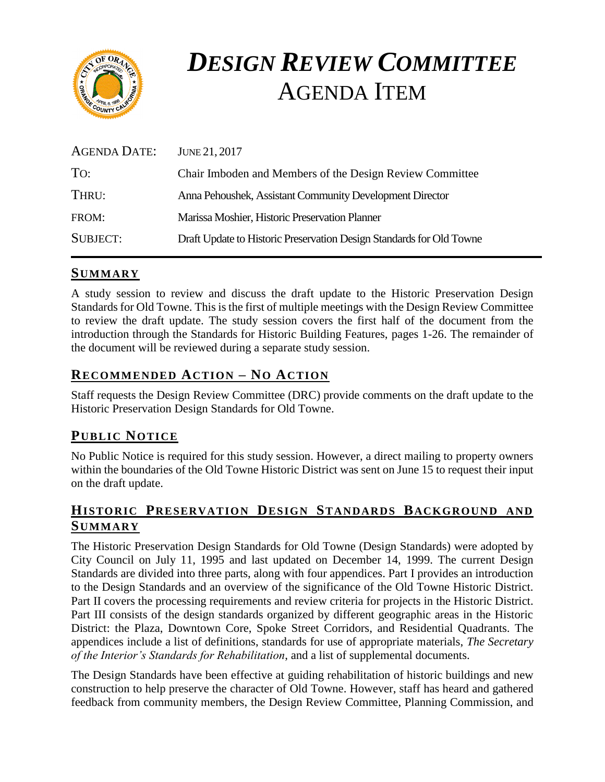

# *DESIGN REVIEW COMMITTEE* AGENDA ITEM

| <b>AGENDA DATE:</b> | JUNE 21, 2017                                                        |
|---------------------|----------------------------------------------------------------------|
| TO:                 | Chair Imboden and Members of the Design Review Committee             |
| THRU:               | Anna Pehoushek, Assistant Community Development Director             |
| FROM:               | Marissa Moshier, Historic Preservation Planner                       |
| <b>SUBJECT:</b>     | Draft Update to Historic Preservation Design Standards for Old Towne |

# **SUMMARY**

A study session to review and discuss the draft update to the Historic Preservation Design Standards for Old Towne. This is the first of multiple meetings with the Design Review Committee to review the draft update. The study session covers the first half of the document from the introduction through the Standards for Historic Building Features, pages 1-26. The remainder of the document will be reviewed during a separate study session.

# **RECOMMENDED ACTION – NO ACTION**

Staff requests the Design Review Committee (DRC) provide comments on the draft update to the Historic Preservation Design Standards for Old Towne.

# **PUB LIC NOTICE**

No Public Notice is required for this study session. However, a direct mailing to property owners within the boundaries of the Old Towne Historic District was sent on June 15 to request their input on the draft update.

# **HISTORIC PRESERVATION DESIGN STANDARDS BACKGROUND AND SUMMARY**

The Historic Preservation Design Standards for Old Towne (Design Standards) were adopted by City Council on July 11, 1995 and last updated on December 14, 1999. The current Design Standards are divided into three parts, along with four appendices. Part I provides an introduction to the Design Standards and an overview of the significance of the Old Towne Historic District. Part II covers the processing requirements and review criteria for projects in the Historic District. Part III consists of the design standards organized by different geographic areas in the Historic District: the Plaza, Downtown Core, Spoke Street Corridors, and Residential Quadrants. The appendices include a list of definitions, standards for use of appropriate materials, *The Secretary of the Interior's Standards for Rehabilitation*, and a list of supplemental documents.

The Design Standards have been effective at guiding rehabilitation of historic buildings and new construction to help preserve the character of Old Towne. However, staff has heard and gathered feedback from community members, the Design Review Committee, Planning Commission, and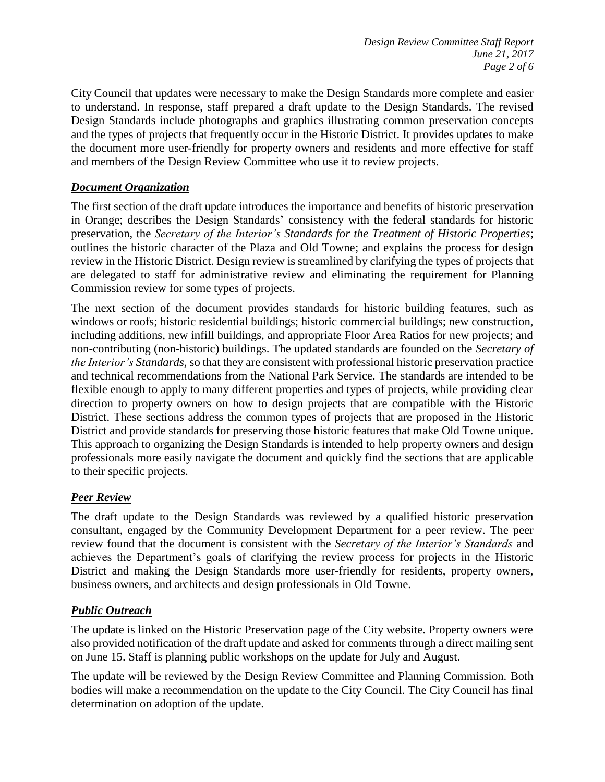City Council that updates were necessary to make the Design Standards more complete and easier to understand. In response, staff prepared a draft update to the Design Standards. The revised Design Standards include photographs and graphics illustrating common preservation concepts and the types of projects that frequently occur in the Historic District. It provides updates to make the document more user-friendly for property owners and residents and more effective for staff and members of the Design Review Committee who use it to review projects.

## *Document Organization*

The first section of the draft update introduces the importance and benefits of historic preservation in Orange; describes the Design Standards' consistency with the federal standards for historic preservation, the *Secretary of the Interior's Standards for the Treatment of Historic Properties*; outlines the historic character of the Plaza and Old Towne; and explains the process for design review in the Historic District. Design review is streamlined by clarifying the types of projects that are delegated to staff for administrative review and eliminating the requirement for Planning Commission review for some types of projects.

The next section of the document provides standards for historic building features, such as windows or roofs; historic residential buildings; historic commercial buildings; new construction, including additions, new infill buildings, and appropriate Floor Area Ratios for new projects; and non-contributing (non-historic) buildings. The updated standards are founded on the *Secretary of the Interior's Standards*, so that they are consistent with professional historic preservation practice and technical recommendations from the National Park Service. The standards are intended to be flexible enough to apply to many different properties and types of projects, while providing clear direction to property owners on how to design projects that are compatible with the Historic District. These sections address the common types of projects that are proposed in the Historic District and provide standards for preserving those historic features that make Old Towne unique. This approach to organizing the Design Standards is intended to help property owners and design professionals more easily navigate the document and quickly find the sections that are applicable to their specific projects.

## *Peer Review*

The draft update to the Design Standards was reviewed by a qualified historic preservation consultant, engaged by the Community Development Department for a peer review. The peer review found that the document is consistent with the *Secretary of the Interior's Standards* and achieves the Department's goals of clarifying the review process for projects in the Historic District and making the Design Standards more user-friendly for residents, property owners, business owners, and architects and design professionals in Old Towne.

## *Public Outreach*

The update is linked on the Historic Preservation page of the City website. Property owners were also provided notification of the draft update and asked for comments through a direct mailing sent on June 15. Staff is planning public workshops on the update for July and August.

The update will be reviewed by the Design Review Committee and Planning Commission. Both bodies will make a recommendation on the update to the City Council. The City Council has final determination on adoption of the update.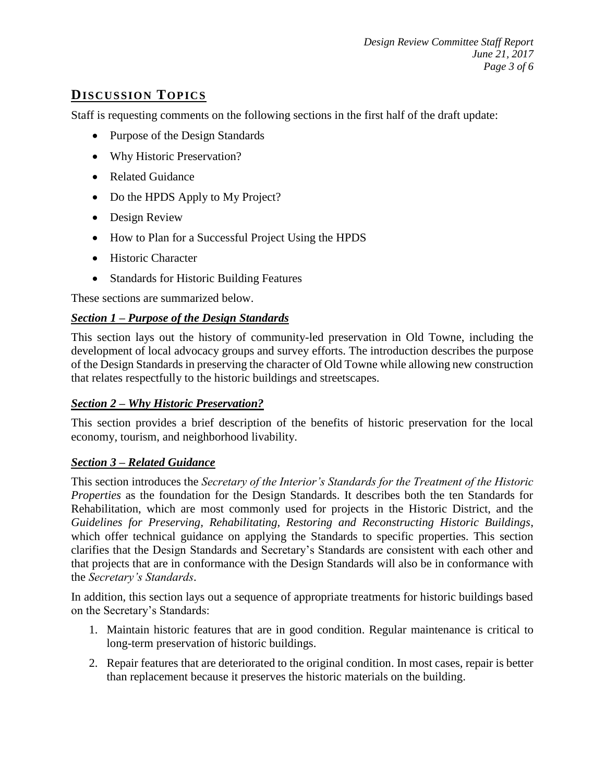# **DISCUSSION TOP ICS**

Staff is requesting comments on the following sections in the first half of the draft update:

- Purpose of the Design Standards
- Why Historic Preservation?
- Related Guidance
- Do the HPDS Apply to My Project?
- Design Review
- How to Plan for a Successful Project Using the HPDS
- Historic Character
- Standards for Historic Building Features

These sections are summarized below.

## *Section 1 – Purpose of the Design Standards*

This section lays out the history of community-led preservation in Old Towne, including the development of local advocacy groups and survey efforts. The introduction describes the purpose of the Design Standards in preserving the character of Old Towne while allowing new construction that relates respectfully to the historic buildings and streetscapes.

## *Section 2 – Why Historic Preservation?*

This section provides a brief description of the benefits of historic preservation for the local economy, tourism, and neighborhood livability.

#### *Section 3 – Related Guidance*

This section introduces the *Secretary of the Interior's Standards for the Treatment of the Historic Properties* as the foundation for the Design Standards. It describes both the ten Standards for Rehabilitation, which are most commonly used for projects in the Historic District, and the *Guidelines for Preserving, Rehabilitating, Restoring and Reconstructing Historic Buildings*, which offer technical guidance on applying the Standards to specific properties. This section clarifies that the Design Standards and Secretary's Standards are consistent with each other and that projects that are in conformance with the Design Standards will also be in conformance with the *Secretary's Standards*.

In addition, this section lays out a sequence of appropriate treatments for historic buildings based on the Secretary's Standards:

- 1. Maintain historic features that are in good condition. Regular maintenance is critical to long-term preservation of historic buildings.
- 2. Repair features that are deteriorated to the original condition. In most cases, repair is better than replacement because it preserves the historic materials on the building.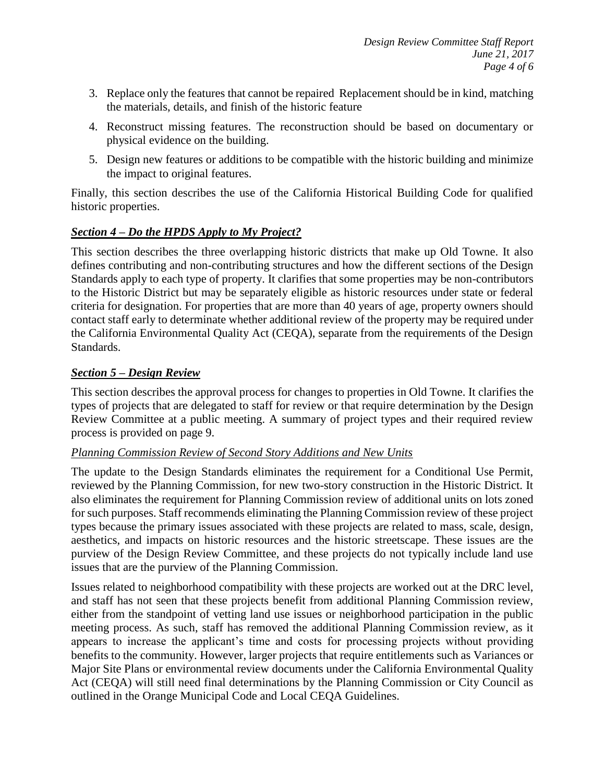- 3. Replace only the features that cannot be repaired Replacement should be in kind, matching the materials, details, and finish of the historic feature
- 4. Reconstruct missing features. The reconstruction should be based on documentary or physical evidence on the building.
- 5. Design new features or additions to be compatible with the historic building and minimize the impact to original features.

Finally, this section describes the use of the California Historical Building Code for qualified historic properties.

## *Section 4 – Do the HPDS Apply to My Project?*

This section describes the three overlapping historic districts that make up Old Towne. It also defines contributing and non-contributing structures and how the different sections of the Design Standards apply to each type of property. It clarifies that some properties may be non-contributors to the Historic District but may be separately eligible as historic resources under state or federal criteria for designation. For properties that are more than 40 years of age, property owners should contact staff early to determinate whether additional review of the property may be required under the California Environmental Quality Act (CEQA), separate from the requirements of the Design Standards.

## *Section 5 – Design Review*

This section describes the approval process for changes to properties in Old Towne. It clarifies the types of projects that are delegated to staff for review or that require determination by the Design Review Committee at a public meeting. A summary of project types and their required review process is provided on page 9.

#### *Planning Commission Review of Second Story Additions and New Units*

The update to the Design Standards eliminates the requirement for a Conditional Use Permit, reviewed by the Planning Commission, for new two-story construction in the Historic District. It also eliminates the requirement for Planning Commission review of additional units on lots zoned for such purposes. Staff recommends eliminating the Planning Commission review of these project types because the primary issues associated with these projects are related to mass, scale, design, aesthetics, and impacts on historic resources and the historic streetscape. These issues are the purview of the Design Review Committee, and these projects do not typically include land use issues that are the purview of the Planning Commission.

Issues related to neighborhood compatibility with these projects are worked out at the DRC level, and staff has not seen that these projects benefit from additional Planning Commission review, either from the standpoint of vetting land use issues or neighborhood participation in the public meeting process. As such, staff has removed the additional Planning Commission review, as it appears to increase the applicant's time and costs for processing projects without providing benefits to the community. However, larger projects that require entitlements such as Variances or Major Site Plans or environmental review documents under the California Environmental Quality Act (CEQA) will still need final determinations by the Planning Commission or City Council as outlined in the Orange Municipal Code and Local CEQA Guidelines.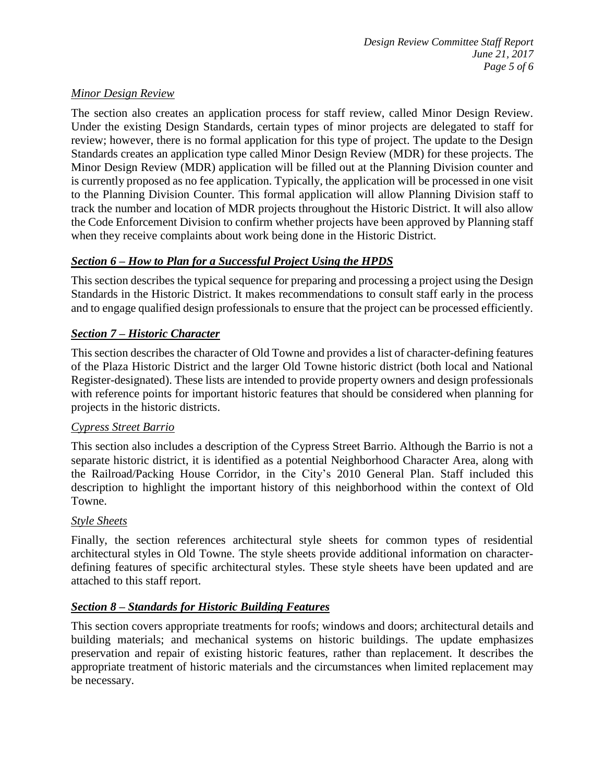## *Minor Design Review*

The section also creates an application process for staff review, called Minor Design Review. Under the existing Design Standards, certain types of minor projects are delegated to staff for review; however, there is no formal application for this type of project. The update to the Design Standards creates an application type called Minor Design Review (MDR) for these projects. The Minor Design Review (MDR) application will be filled out at the Planning Division counter and is currently proposed as no fee application. Typically, the application will be processed in one visit to the Planning Division Counter. This formal application will allow Planning Division staff to track the number and location of MDR projects throughout the Historic District. It will also allow the Code Enforcement Division to confirm whether projects have been approved by Planning staff when they receive complaints about work being done in the Historic District.

# *Section 6 – How to Plan for a Successful Project Using the HPDS*

This section describes the typical sequence for preparing and processing a project using the Design Standards in the Historic District. It makes recommendations to consult staff early in the process and to engage qualified design professionals to ensure that the project can be processed efficiently.

# *Section 7 – Historic Character*

This section describes the character of Old Towne and provides a list of character-defining features of the Plaza Historic District and the larger Old Towne historic district (both local and National Register-designated). These lists are intended to provide property owners and design professionals with reference points for important historic features that should be considered when planning for projects in the historic districts.

## *Cypress Street Barrio*

This section also includes a description of the Cypress Street Barrio. Although the Barrio is not a separate historic district, it is identified as a potential Neighborhood Character Area, along with the Railroad/Packing House Corridor, in the City's 2010 General Plan. Staff included this description to highlight the important history of this neighborhood within the context of Old Towne.

## *Style Sheets*

Finally, the section references architectural style sheets for common types of residential architectural styles in Old Towne. The style sheets provide additional information on characterdefining features of specific architectural styles. These style sheets have been updated and are attached to this staff report.

## *Section 8 – Standards for Historic Building Features*

This section covers appropriate treatments for roofs; windows and doors; architectural details and building materials; and mechanical systems on historic buildings. The update emphasizes preservation and repair of existing historic features, rather than replacement. It describes the appropriate treatment of historic materials and the circumstances when limited replacement may be necessary.